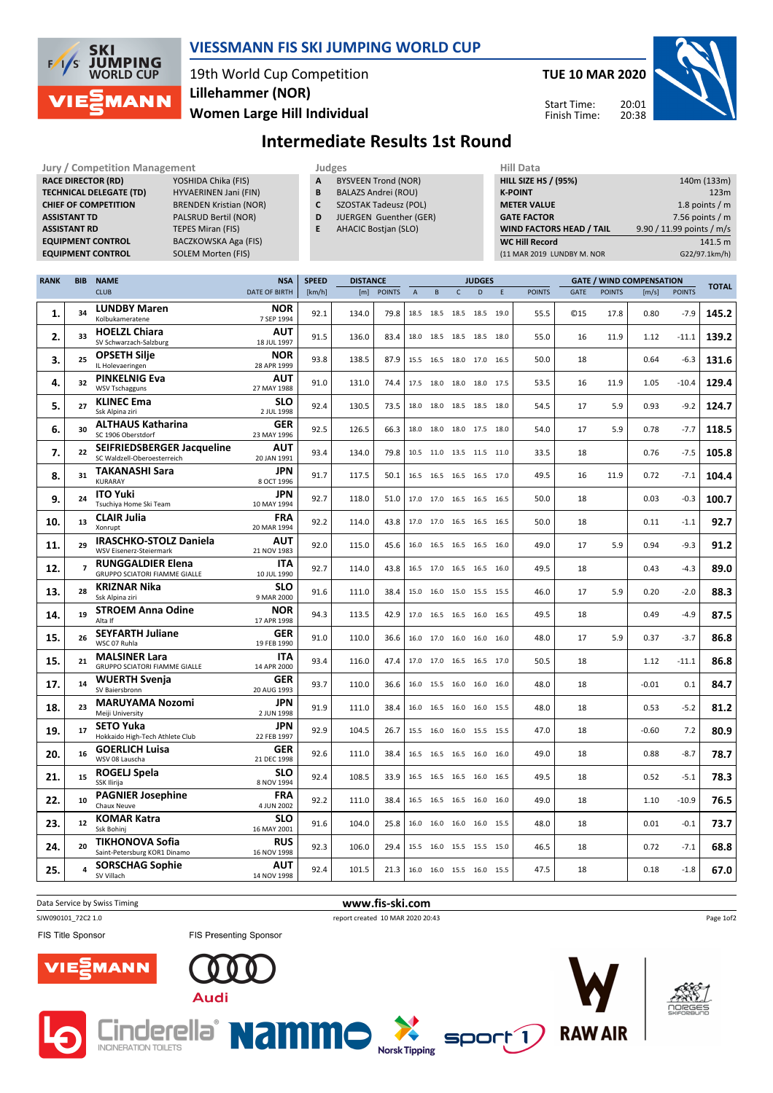

### **VIESSMANN FIS SKI JUMPING WORLD CUP**

19th World Cup Competition **Women Large Hill Individual Lillehammer (NOR)**

**Jury / Competition Management Judges Hill Data**

**TUE 10 MAR 2020**

Start Time: Finish Time:



# **Intermediate Results 1st Round**

| <b>RACE DIRECTOR (RD)</b><br>YOSHIDA Chika (FIS)<br><b>TECHNICAL DELEGATE (TD)</b><br>HYVAERINEN Jani (FIN)<br><b>BRENDEN Kristian (NOR)</b><br><b>CHIEF OF COMPETITION</b><br>PALSRUD Bertil (NOR)<br><b>ASSISTANT TD</b><br><b>ASSISTANT RD</b><br><b>TEPES Miran (FIS)</b><br><b>EQUIPMENT CONTROL</b><br>BACZKOWSKA Aga (FIS)<br><b>EQUIPMENT CONTROL</b><br><b>SOLEM Morten (FIS)</b> |                   |                                                              |  |                                    | <b>BYSVEEN Trond (NOR)</b><br>А<br>B<br><b>BALAZS Andrei (ROU)</b><br>C<br><b>SZOSTAK Tadeusz (POL)</b><br>D<br>JUERGEN Guenther (GER)<br>E.<br><b>AHACIC Bostjan (SLO)</b> |                        |               |                |           |                          | <b>HILL SIZE HS / (95%)</b><br><b>K-POINT</b><br><b>METER VALUE</b><br><b>GATE FACTOR</b><br><b>WIND FACTORS HEAD / TAIL</b><br><b>WC Hill Record</b><br>(11 MAR 2019 LUNDBY M. NOR |              |               |             | 140m (133m)<br>123m<br>1.8 points $/m$<br>7.56 points $/m$<br>9.90 / 11.99 points / m/s<br>141.5 m<br>G22/97.1km/h) |                                          |               |              |
|--------------------------------------------------------------------------------------------------------------------------------------------------------------------------------------------------------------------------------------------------------------------------------------------------------------------------------------------------------------------------------------------|-------------------|--------------------------------------------------------------|--|------------------------------------|-----------------------------------------------------------------------------------------------------------------------------------------------------------------------------|------------------------|---------------|----------------|-----------|--------------------------|-------------------------------------------------------------------------------------------------------------------------------------------------------------------------------------|--------------|---------------|-------------|---------------------------------------------------------------------------------------------------------------------|------------------------------------------|---------------|--------------|
| <b>RANK</b>                                                                                                                                                                                                                                                                                                                                                                                | <b>BIB</b>        | <b>NAME</b><br><b>CLUB</b>                                   |  | <b>NSA</b><br><b>DATE OF BIRTH</b> | <b>SPEED</b><br>[km/h]                                                                                                                                                      | <b>DISTANCE</b><br>[m] | <b>POINTS</b> | $\overline{A}$ | B         | $\mathsf{C}$             | <b>JUDGES</b><br>D                                                                                                                                                                  | $\mathsf{E}$ | <b>POINTS</b> | <b>GATE</b> | <b>POINTS</b>                                                                                                       | <b>GATE / WIND COMPENSATION</b><br>[m/s] | <b>POINTS</b> | <b>TOTAL</b> |
| 1.                                                                                                                                                                                                                                                                                                                                                                                         | 34                | <b>LUNDBY Maren</b><br>Kolbukameratene                       |  | <b>NOR</b><br>7 SEP 1994           | 92.1                                                                                                                                                                        | 134.0                  | 79.8          |                | 18.5 18.5 | 18.5 18.5 19.0           |                                                                                                                                                                                     |              | 55.5          | <b>©15</b>  | 17.8                                                                                                                | 0.80                                     | $-7.9$        | 145.2        |
| 2.                                                                                                                                                                                                                                                                                                                                                                                         | 33                | <b>HOELZL Chiara</b><br>SV Schwarzach-Salzburg               |  | AUT<br>18 JUL 1997                 | 91.5                                                                                                                                                                        | 136.0                  | 83.4          |                | 18.0 18.5 | 18.5 18.5 18.0           |                                                                                                                                                                                     |              | 55.0          | 16          | 11.9                                                                                                                | 1.12                                     | $-11.1$       | 139.2        |
| 3.                                                                                                                                                                                                                                                                                                                                                                                         | 25                | <b>OPSETH Silje</b><br>IL Holevaeringen                      |  | <b>NOR</b><br>28 APR 1999          | 93.8                                                                                                                                                                        | 138.5                  | 87.9          |                | 15.5 16.5 | 18.0 17.0 16.5           |                                                                                                                                                                                     |              | 50.0          | 18          |                                                                                                                     | 0.64                                     | $-6.3$        | 131.6        |
| 4.                                                                                                                                                                                                                                                                                                                                                                                         | 32                | <b>PINKELNIG Eva</b><br><b>WSV Tschagguns</b>                |  | <b>AUT</b><br>27 MAY 1988          | 91.0                                                                                                                                                                        | 131.0                  | 74.4          |                |           | 17.5 18.0 18.0 18.0 17.5 |                                                                                                                                                                                     |              | 53.5          | 16          | 11.9                                                                                                                | 1.05                                     | $-10.4$       | 129.4        |
| 5.                                                                                                                                                                                                                                                                                                                                                                                         | 27                | <b>KLINEC Ema</b><br>Ssk Alpina ziri                         |  | <b>SLO</b><br>2 JUL 1998           | 92.4                                                                                                                                                                        | 130.5                  | 73.5          |                |           | 18.0 18.0 18.5 18.5 18.0 |                                                                                                                                                                                     |              | 54.5          | 17          | 5.9                                                                                                                 | 0.93                                     | $-9.2$        | 124.7        |
| 6.                                                                                                                                                                                                                                                                                                                                                                                         | 30                | <b>ALTHAUS Katharina</b><br>SC 1906 Oberstdorf               |  | <b>GER</b><br>23 MAY 1996          | 92.5                                                                                                                                                                        | 126.5                  | 66.3          |                |           | 18.0 18.0 18.0 17.5 18.0 |                                                                                                                                                                                     |              | 54.0          | 17          | 5.9                                                                                                                 | 0.78                                     | $-7.7$        | 118.5        |
| 7.                                                                                                                                                                                                                                                                                                                                                                                         | 22                | SEIFRIEDSBERGER Jacqueline<br>SC Waldzell-Oberoesterreich    |  | AUT<br>20 JAN 1991                 | 93.4                                                                                                                                                                        | 134.0                  | 79.8          |                |           | 10.5 11.0 13.5 11.5 11.0 |                                                                                                                                                                                     |              | 33.5          | 18          |                                                                                                                     | 0.76                                     | $-7.5$        | 105.8        |
| 8.                                                                                                                                                                                                                                                                                                                                                                                         | 31                | <b>TAKANASHI Sara</b><br>KURARAY                             |  | JPN<br>8 OCT 1996                  | 91.7                                                                                                                                                                        | 117.5                  | 50.1          |                |           | 16.5 16.5 16.5 16.5 17.0 |                                                                                                                                                                                     |              | 49.5          | 16          | 11.9                                                                                                                | 0.72                                     | $-7.1$        | 104.4        |
| 9.                                                                                                                                                                                                                                                                                                                                                                                         | 24                | <b>ITO Yuki</b><br>Tsuchiya Home Ski Team                    |  | JPN<br>10 MAY 1994                 | 92.7                                                                                                                                                                        | 118.0                  | 51.0          |                |           | 17.0 17.0 16.5 16.5 16.5 |                                                                                                                                                                                     |              | 50.0          | 18          |                                                                                                                     | 0.03                                     | $-0.3$        | 100.7        |
| 10.                                                                                                                                                                                                                                                                                                                                                                                        | 13                | <b>CLAIR Julia</b><br>Xonrupt                                |  | <b>FRA</b><br>20 MAR 1994          | 92.2                                                                                                                                                                        | 114.0                  | 43.8          |                |           | 17.0 17.0 16.5 16.5 16.5 |                                                                                                                                                                                     |              | 50.0          | 18          |                                                                                                                     | 0.11                                     | $-1.1$        | 92.7         |
| 11.                                                                                                                                                                                                                                                                                                                                                                                        | 29                | <b>IRASCHKO-STOLZ Daniela</b><br>WSV Eisenerz-Steiermark     |  | AUT<br>21 NOV 1983                 | 92.0                                                                                                                                                                        | 115.0                  | 45.6          |                |           | 16.0 16.5 16.5 16.5 16.0 |                                                                                                                                                                                     |              | 49.0          | 17          | 5.9                                                                                                                 | 0.94                                     | $-9.3$        | 91.2         |
| 12.                                                                                                                                                                                                                                                                                                                                                                                        | $\overline{ }$    | <b>RUNGGALDIER Elena</b><br>GRUPPO SCIATORI FIAMME GIALLE    |  | ITA<br>10 JUL 1990                 | 92.7                                                                                                                                                                        | 114.0                  | 43.8          |                |           | 16.5 17.0 16.5 16.5 16.0 |                                                                                                                                                                                     |              | 49.5          | 18          |                                                                                                                     | 0.43                                     | $-4.3$        | 89.0         |
| 13.                                                                                                                                                                                                                                                                                                                                                                                        | 28                | <b>KRIZNAR Nika</b><br>Ssk Alpina ziri                       |  | <b>SLO</b><br>9 MAR 2000           | 91.6                                                                                                                                                                        | 111.0                  | 38.4          |                |           | 15.0 16.0 15.0 15.5 15.5 |                                                                                                                                                                                     |              | 46.0          | 17          | 5.9                                                                                                                 | 0.20                                     | $-2.0$        | 88.3         |
| 14.                                                                                                                                                                                                                                                                                                                                                                                        | 19                | <b>STROEM Anna Odine</b><br>Alta If                          |  | <b>NOR</b><br>17 APR 1998          | 94.3                                                                                                                                                                        | 113.5                  | 42.9          |                |           | 17.0 16.5 16.5 16.0 16.5 |                                                                                                                                                                                     |              | 49.5          | 18          |                                                                                                                     | 0.49                                     | $-4.9$        | 87.5         |
| 15.                                                                                                                                                                                                                                                                                                                                                                                        | 26                | <b>SEYFARTH Juliane</b><br>WSC 07 Ruhla                      |  | <b>GER</b><br>19 FEB 1990          | 91.0                                                                                                                                                                        | 110.0                  | 36.6          |                |           | 16.0 17.0 16.0 16.0 16.0 |                                                                                                                                                                                     |              | 48.0          | 17          | 5.9                                                                                                                 | 0.37                                     | $-3.7$        | 86.8         |
| 15.                                                                                                                                                                                                                                                                                                                                                                                        | 21                | <b>MALSINER Lara</b><br><b>GRUPPO SCIATORI FIAMME GIALLE</b> |  | <b>ITA</b><br>14 APR 2000          | 93.4                                                                                                                                                                        | 116.0                  | 47.4          |                |           | 17.0 17.0 16.5 16.5 17.0 |                                                                                                                                                                                     |              | 50.5          | 18          |                                                                                                                     | 1.12                                     | $-11.1$       | 86.8         |
| 17.                                                                                                                                                                                                                                                                                                                                                                                        | 14                | <b>WUERTH Svenja</b><br>SV Baiersbronn                       |  | <b>GER</b><br>20 AUG 1993          | 93.7                                                                                                                                                                        | 110.0                  | 36.6          |                |           | 16.0 15.5 16.0 16.0 16.0 |                                                                                                                                                                                     |              | 48.0          | 18          |                                                                                                                     | $-0.01$                                  | 0.1           | 84.7         |
| 18.                                                                                                                                                                                                                                                                                                                                                                                        | 23                | <b>MARUYAMA Nozomi</b><br>Meiji University                   |  | JPN<br>2 JUN 1998                  | 91.9                                                                                                                                                                        | 111.0                  | 38.4          |                |           | 16.0 16.5 16.0 16.0 15.5 |                                                                                                                                                                                     |              | 48.0          | 18          |                                                                                                                     | 0.53                                     | $-5.2$        | 81.2         |
| 19.                                                                                                                                                                                                                                                                                                                                                                                        | 17                | <b>SETO Yuka</b><br>Hokkaido High-Tech Athlete Club          |  | JPN<br>22 FEB 1997                 | 92.9                                                                                                                                                                        | 104.5                  | 26.7          |                |           | 15.5 16.0 16.0 15.5 15.5 |                                                                                                                                                                                     |              | 47.0          | 18          |                                                                                                                     | $-0.60$                                  | 7.2           | 80.9         |
| 20.                                                                                                                                                                                                                                                                                                                                                                                        | 16                | <b>GOERLICH Luisa</b><br>WSV 08 Lauscha                      |  | <b>GER</b><br>21 DEC 1998          | 92.6                                                                                                                                                                        | 111.0                  | 38.4          |                |           | 16.5 16.5 16.5 16.0 16.0 |                                                                                                                                                                                     |              | 49.0          | 18          |                                                                                                                     | 0.88                                     | $-8.7$        | 78.7         |
| 21.                                                                                                                                                                                                                                                                                                                                                                                        | 15                | ROGELJ Spela<br>SSK Ilirija                                  |  | <b>SLO</b><br>8 NOV 1994           | 92.4                                                                                                                                                                        | 108.5                  | 33.9          |                |           | 16.5 16.5 16.5 16.0 16.5 |                                                                                                                                                                                     |              | 49.5          | 18          |                                                                                                                     | 0.52                                     | $-5.1$        | 78.3         |
| 22.                                                                                                                                                                                                                                                                                                                                                                                        | 10                | <b>PAGNIER Josephine</b><br>Chaux Neuve                      |  | <b>FRA</b><br>4 JUN 2002           | 92.2                                                                                                                                                                        | 111.0                  | 38.4          |                |           | 16.5 16.5 16.5 16.0 16.0 |                                                                                                                                                                                     |              | 49.0          | 18          |                                                                                                                     | 1.10                                     | $-10.9$       | 76.5         |
| 23.                                                                                                                                                                                                                                                                                                                                                                                        | $12 \overline{ }$ | KOMAR Katra<br>Ssk Bohinj                                    |  | <b>SLO</b><br>16 MAY 2001          | 91.6                                                                                                                                                                        | 104.0                  | 25.8          |                |           | 16.0 16.0 16.0 16.0 15.5 |                                                                                                                                                                                     |              | 48.0          | 18          |                                                                                                                     | 0.01                                     | $-0.1$        | 73.7         |
| 24.                                                                                                                                                                                                                                                                                                                                                                                        | 20                | <b>TIKHONOVA Sofia</b><br>Saint-Petersburg KOR1 Dinamo       |  | <b>RUS</b><br>16 NOV 1998          | 92.3                                                                                                                                                                        | 106.0                  | 29.4          |                |           | 15.5 16.0 15.5 15.5 15.0 |                                                                                                                                                                                     |              | 46.5          | 18          |                                                                                                                     | 0.72                                     | $-7.1$        | 68.8         |
| 25.                                                                                                                                                                                                                                                                                                                                                                                        |                   | <b>SORSCHAG Sophie</b><br>SV Villach                         |  | AUT<br>14 NOV 1998                 | 92.4                                                                                                                                                                        | 101.5                  | 21.3          |                |           | 16.0 16.0 15.5 16.0 15.5 |                                                                                                                                                                                     |              | 47.5          | 18          |                                                                                                                     | 0.18                                     | $-1.8$        | 67.0         |

Data Service by Swiss Timing **www.fis-ski.com** 

s<br>
SJW090101\_72C2 1.0 report created 10 MAR 2020 20:43

**Norsk Tipping** 

FIS Title Sponsor



mm













Page 1of2